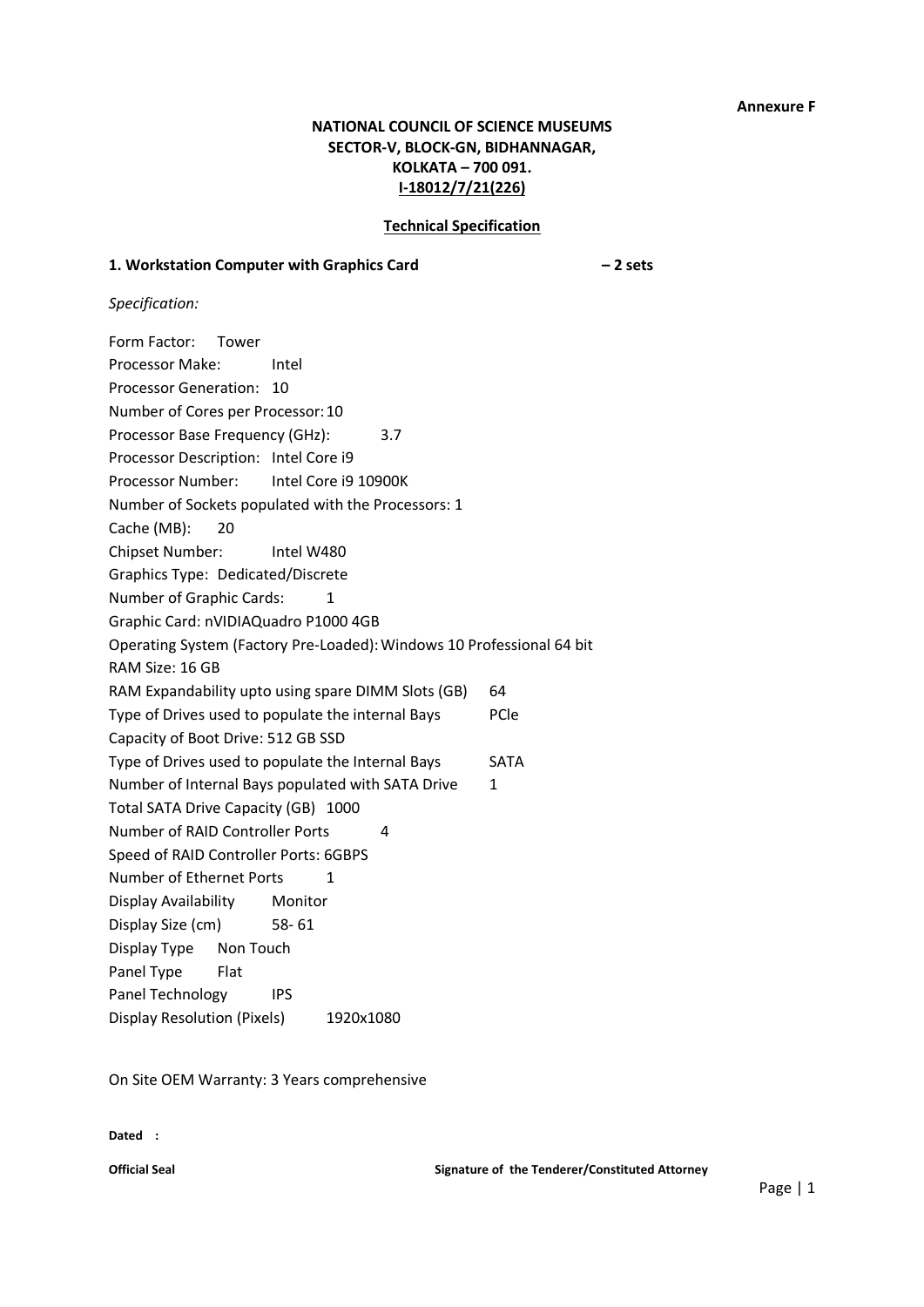### **Annexure F**

# **NATIONAL COUNCIL OF SCIENCE MUSEUMS SECTOR-V, BLOCK-GN, BIDHANNAGAR, KOLKATA – 700 091. I-18012/7/21(226)**

### **Technical Specification**

# **1. Workstation Computer with Graphics Card – 2 sets**

*Specification:*

| Form Factor:<br>Tower                 |                                                                       |             |
|---------------------------------------|-----------------------------------------------------------------------|-------------|
| Processor Make:                       | Intel                                                                 |             |
| Processor Generation:                 | 10                                                                    |             |
| Number of Cores per Processor: 10     |                                                                       |             |
| Processor Base Frequency (GHz):       | 3.7                                                                   |             |
| Processor Description: Intel Core i9  |                                                                       |             |
| Processor Number:                     | Intel Core i9 10900K                                                  |             |
|                                       | Number of Sockets populated with the Processors: 1                    |             |
| Cache (MB):<br>20                     |                                                                       |             |
| Chipset Number:                       | Intel W480                                                            |             |
| Graphics Type: Dedicated/Discrete     |                                                                       |             |
| Number of Graphic Cards:              | 1                                                                     |             |
| Graphic Card: nVIDIAQuadro P1000 4GB  |                                                                       |             |
|                                       | Operating System (Factory Pre-Loaded): Windows 10 Professional 64 bit |             |
| RAM Size: 16 GB                       |                                                                       |             |
|                                       | RAM Expandability upto using spare DIMM Slots (GB)                    | 64          |
|                                       | Type of Drives used to populate the internal Bays                     | PCle        |
| Capacity of Boot Drive: 512 GB SSD    |                                                                       |             |
|                                       | Type of Drives used to populate the Internal Bays                     | <b>SATA</b> |
|                                       | Number of Internal Bays populated with SATA Drive                     | 1           |
| Total SATA Drive Capacity (GB) 1000   |                                                                       |             |
| Number of RAID Controller Ports       | 4                                                                     |             |
| Speed of RAID Controller Ports: 6GBPS |                                                                       |             |
| Number of Ethernet Ports              | 1                                                                     |             |
| Display Availability                  | Monitor                                                               |             |
| Display Size (cm)                     | $58 - 61$                                                             |             |
| Display Type<br>Non Touch             |                                                                       |             |
| Panel Type<br>Flat                    |                                                                       |             |
| Panel Technology                      | IPS                                                                   |             |
| <b>Display Resolution (Pixels)</b>    | 1920x1080                                                             |             |

On Site OEM Warranty: 3 Years comprehensive

**Dated :**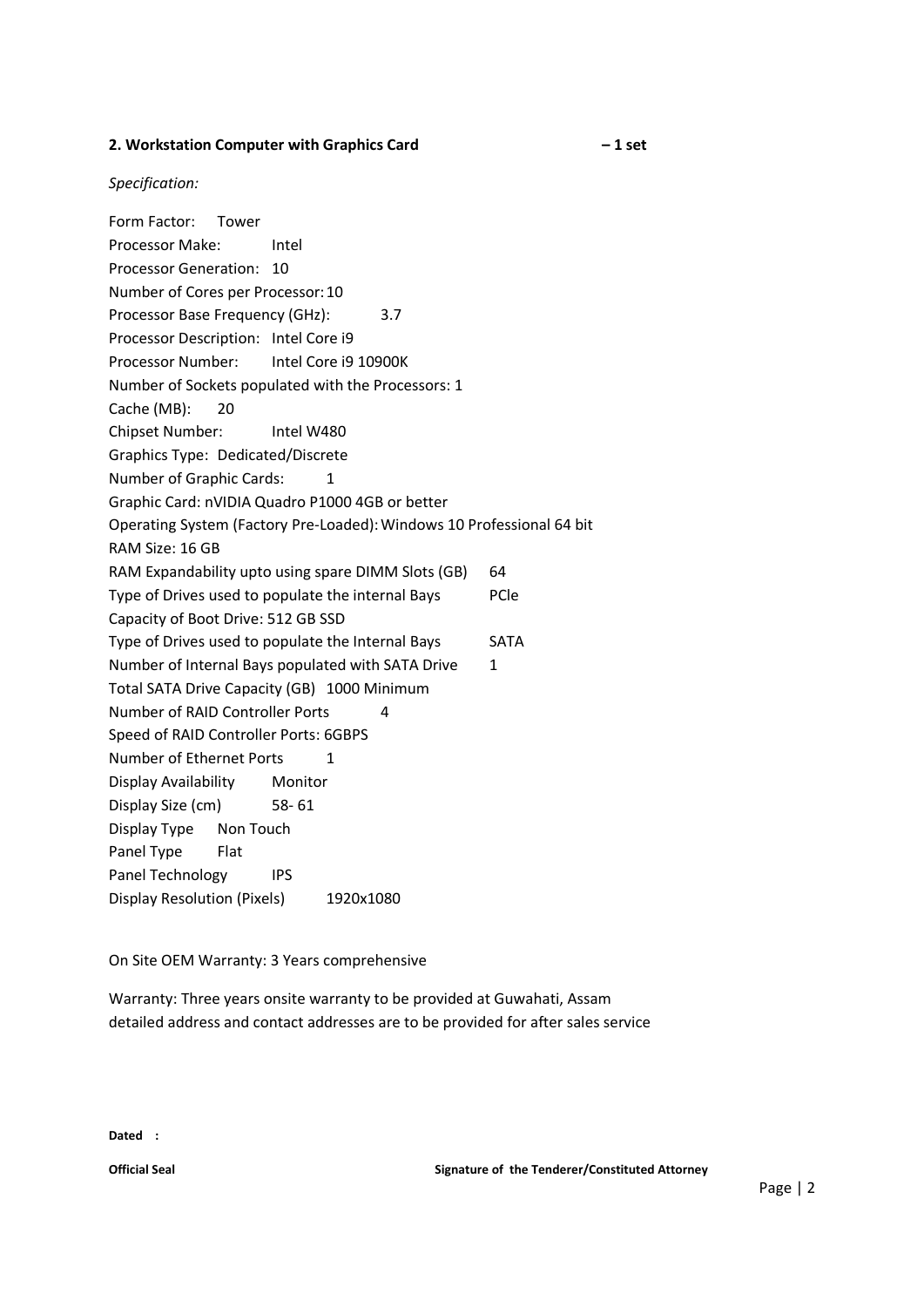### **2. Workstation Computer with Graphics Card – 1 set**

*Specification:*

Form Factor: Tower Processor Make: Intel Processor Generation: 10 Number of Cores per Processor:10 Processor Base Frequency (GHz): 3.7 Processor Description: Intel Core i9 Processor Number: Intel Core i9 10900K Number of Sockets populated with the Processors: 1 Cache (MB): 20 Chipset Number: Intel W480 Graphics Type: Dedicated/Discrete Number of Graphic Cards: 1 Graphic Card: nVIDIA Quadro P1000 4GB or better Operating System (Factory Pre-Loaded):Windows 10 Professional 64 bit RAM Size: 16 GB RAM Expandability upto using spare DIMM Slots (GB) 64 Type of Drives used to populate the internal Bays PCle Capacity of Boot Drive: 512 GB SSD Type of Drives used to populate the Internal Bays SATA Number of Internal Bays populated with SATA Drive 1 Total SATA Drive Capacity (GB) 1000 Minimum Number of RAID Controller Ports 4 Speed of RAID Controller Ports: 6GBPS Number of Ethernet Ports 1 Display Availability Monitor Display Size (cm) 58- 61 Display Type Non Touch Panel Type Flat Panel Technology IPS Display Resolution (Pixels) 1920x1080

On Site OEM Warranty: 3 Years comprehensive

Warranty: Three years onsite warranty to be provided at Guwahati, Assam detailed address and contact addresses are to be provided for after sales service

**Dated :**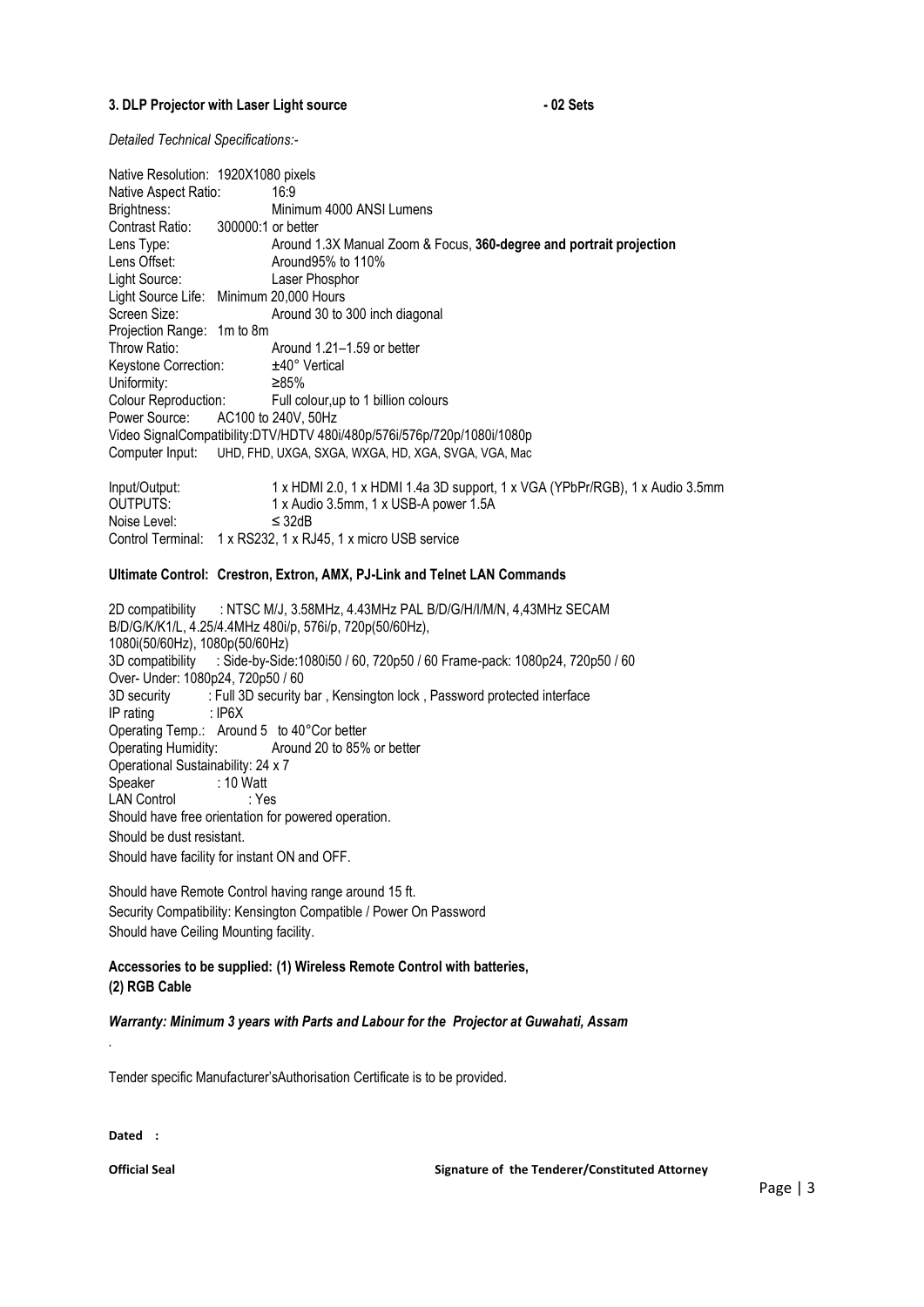#### **3. DLP Projector with Laser Light source - 02 Sets**

*Detailed Technical Specifications:-*

Noise Level: ≤ 32dB

| Native Resolution: 1920X1080 pixels     |                                                                              |
|-----------------------------------------|------------------------------------------------------------------------------|
| Native Aspect Ratio:                    | 16:9                                                                         |
| Brightness:                             | Minimum 4000 ANSI Lumens                                                     |
| Contrast Ratio: 300000:1 or better      |                                                                              |
| Lens Type:                              | Around 1.3X Manual Zoom & Focus, 360-degree and portrait projection          |
| Lens Offset:                            | Around 95% to 110%                                                           |
| Light Source:                           | Laser Phosphor                                                               |
| Light Source Life: Minimum 20,000 Hours |                                                                              |
| Screen Size:                            | Around 30 to 300 inch diagonal                                               |
| Projection Range: 1m to 8m              |                                                                              |
| Throw Ratio:                            | Around 1.21–1.59 or better                                                   |
| Keystone Correction:                    | ±40° Vertical                                                                |
| Uniformity:                             | ≥85%                                                                         |
| Colour Reproduction:                    | Full colour, up to 1 billion colours                                         |
| Power Source:                           | AC100 to 240V, 50Hz                                                          |
|                                         | Video SignalCompatibility:DTV/HDTV 480i/480p/576i/576p/720p/1080i/1080p      |
|                                         | Computer Input: UHD, FHD, UXGA, SXGA, WXGA, HD, XGA, SVGA, VGA, Mac          |
| Input/Output:                           | 1 x HDMI 2.0, 1 x HDMI 1.4a 3D support, 1 x VGA (YPbPr/RGB), 1 x Audio 3.5mm |
| <b>OUTPUTS:</b>                         | 1 x Audio 3.5mm, 1 x USB-A power 1.5A                                        |

#### **Ultimate Control: Crestron, Extron, AMX, PJ-Link and Telnet LAN Commands**

Control Terminal: 1 x RS232, 1 x RJ45, 1 x micro USB service

2D compatibility : NTSC M/J, 3.58MHz, 4.43MHz PAL B/D/G/H/I/M/N, 4,43MHz SECAM B/D/G/K/K1/L, 4.25/4.4MHz 480i/p, 576i/p, 720p(50/60Hz), 1080i(50/60Hz), 1080p(50/60Hz) 3D compatibility : Side-by-Side:1080i50 / 60, 720p50 / 60 Frame-pack: 1080p24, 720p50 / 60 Over- Under: 1080p24, 720p50 / 60 3D security : Full 3D security bar, Kensington lock, Password protected interface IP rating : IP6X Operating Temp.: Around 5 to 40°Cor better<br>Operating Humidity: Around 20 to 85% Around 20 to 85% or better Operational Sustainability: 24 x 7 Speaker : 10 Watt LAN Control : Yes Should have free orientation for powered operation. Should be dust resistant. Should have facility for instant ON and OFF.

Should have Remote Control having range around 15 ft. Security Compatibility: Kensington Compatible / Power On Password Should have Ceiling Mounting facility.

### **Accessories to be supplied: (1) Wireless Remote Control with batteries, (2) RGB Cable**

#### *Warranty: Minimum 3 years with Parts and Labour for the Projector at Guwahati, Assam*

Tender specific Manufacturer'sAuthorisation Certificate is to be provided.

**Dated :**

*.*

**Official Seal Signature of the Tenderer/Constituted Attorney**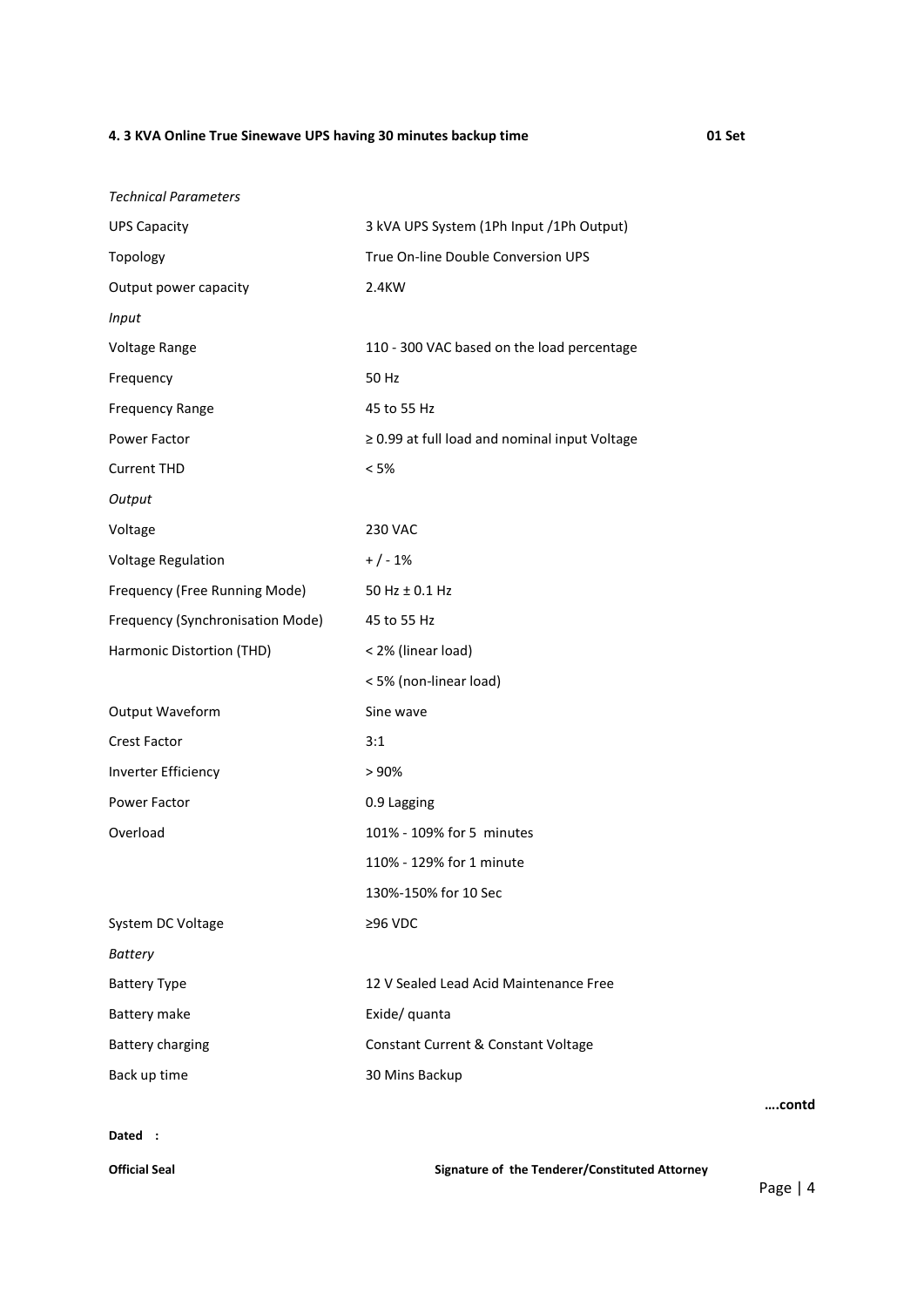## **4. 3 KVA Online True Sinewave UPS having 30 minutes backup time 01 Set**

| <b>Technical Parameters</b><br><b>UPS Capacity</b> | 3 kVA UPS System (1Ph Input /1Ph Output)       |
|----------------------------------------------------|------------------------------------------------|
| Topology                                           | True On-line Double Conversion UPS             |
| Output power capacity                              | 2.4KW                                          |
| <b>Input</b>                                       |                                                |
|                                                    |                                                |
| Voltage Range                                      | 110 - 300 VAC based on the load percentage     |
| Frequency                                          | 50 Hz                                          |
| <b>Frequency Range</b>                             | 45 to 55 Hz                                    |
| Power Factor                                       | ≥ 0.99 at full load and nominal input Voltage  |
| <b>Current THD</b>                                 | < 5%                                           |
| Output                                             |                                                |
| Voltage                                            | <b>230 VAC</b>                                 |
| <b>Voltage Regulation</b>                          | $+/-1%$                                        |
| Frequency (Free Running Mode)                      | 50 Hz ± 0.1 Hz                                 |
| Frequency (Synchronisation Mode)                   | 45 to 55 Hz                                    |
| Harmonic Distortion (THD)                          | < 2% (linear load)                             |
|                                                    | < 5% (non-linear load)                         |
| Output Waveform                                    | Sine wave                                      |
| <b>Crest Factor</b>                                | 3:1                                            |
| <b>Inverter Efficiency</b>                         | > 90%                                          |
| Power Factor                                       | 0.9 Lagging                                    |
| Overload                                           | 101% - 109% for 5 minutes                      |
|                                                    | 110% - 129% for 1 minute                       |
|                                                    | 130%-150% for 10 Sec                           |
| System DC Voltage                                  | $≥96$ VDC                                      |
| <b>Battery</b>                                     |                                                |
| <b>Battery Type</b>                                | 12 V Sealed Lead Acid Maintenance Free         |
| Battery make                                       | Exide/ quanta                                  |
| <b>Battery charging</b>                            | Constant Current & Constant Voltage            |
| Back up time                                       | 30 Mins Backup                                 |
| Dated :                                            |                                                |
| <b>Official Seal</b>                               | Signature of the Tenderer/Constituted Attorney |

Page | 4

**….contd**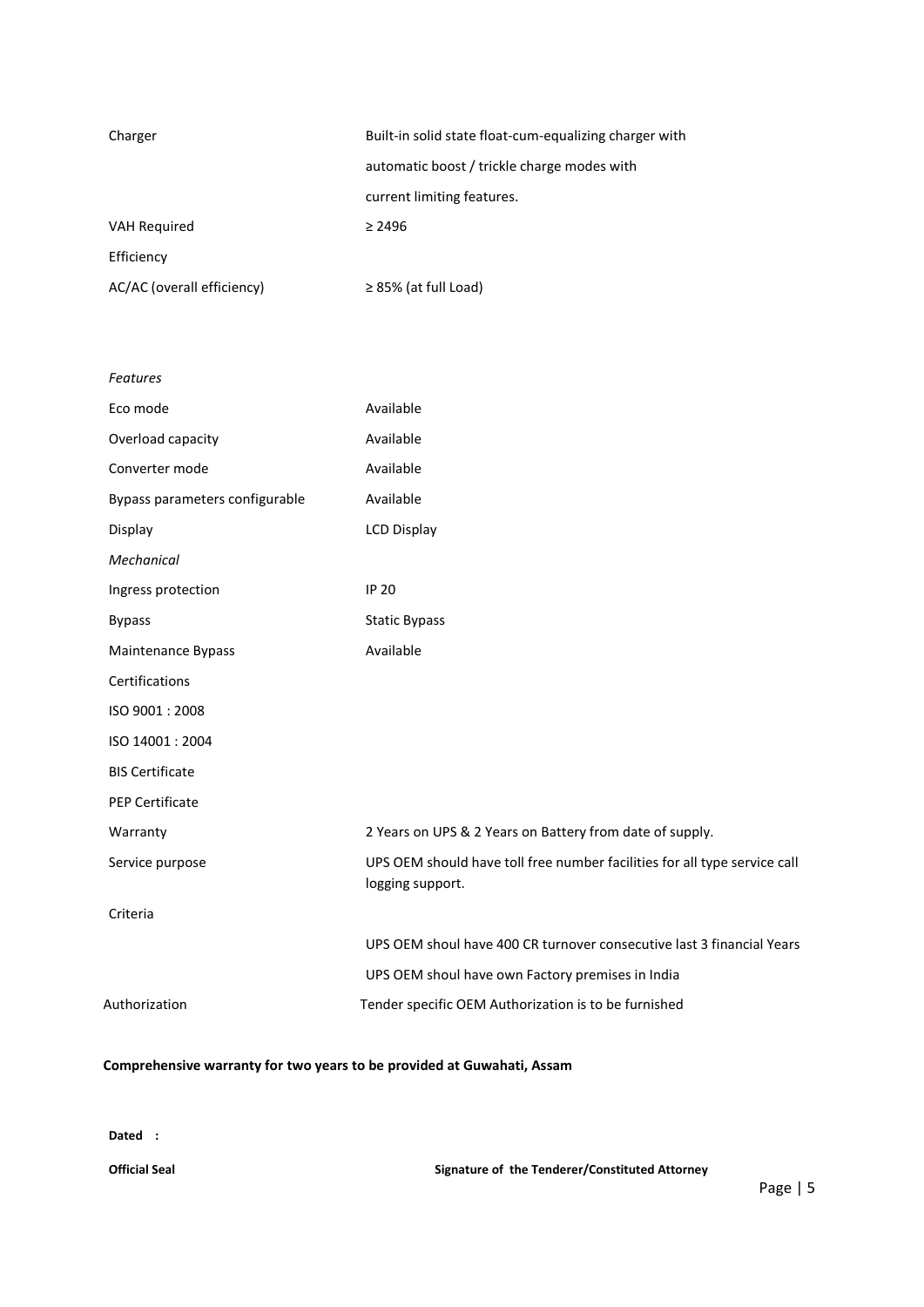| Charger                    | Built-in solid state float-cum-equalizing charger with |
|----------------------------|--------------------------------------------------------|
|                            | automatic boost / trickle charge modes with            |
|                            | current limiting features.                             |
| <b>VAH Required</b>        | $\geq 2496$                                            |
| Efficiency                 |                                                        |
| AC/AC (overall efficiency) | $\geq$ 85% (at full Load)                              |

| Features                       |                                                                                               |
|--------------------------------|-----------------------------------------------------------------------------------------------|
| Eco mode                       | Available                                                                                     |
| Overload capacity              | Available                                                                                     |
| Converter mode                 | Available                                                                                     |
| Bypass parameters configurable | Available                                                                                     |
| Display                        | <b>LCD Display</b>                                                                            |
| Mechanical                     |                                                                                               |
| Ingress protection             | <b>IP 20</b>                                                                                  |
| <b>Bypass</b>                  | <b>Static Bypass</b>                                                                          |
| Maintenance Bypass             | Available                                                                                     |
| Certifications                 |                                                                                               |
| ISO 9001:2008                  |                                                                                               |
| ISO 14001: 2004                |                                                                                               |
| <b>BIS Certificate</b>         |                                                                                               |
| <b>PEP Certificate</b>         |                                                                                               |
| Warranty                       | 2 Years on UPS & 2 Years on Battery from date of supply.                                      |
| Service purpose                | UPS OEM should have toll free number facilities for all type service call<br>logging support. |
| Criteria                       |                                                                                               |
|                                | UPS OEM shoul have 400 CR turnover consecutive last 3 financial Years                         |
|                                | UPS OEM shoul have own Factory premises in India                                              |
| Authorization                  | Tender specific OEM Authorization is to be furnished                                          |
|                                |                                                                                               |

# **Comprehensive warranty for two years to be provided at Guwahati, Assam**

**Dated :**

**Official Seal Signature of the Tenderer/Constituted Attorney**